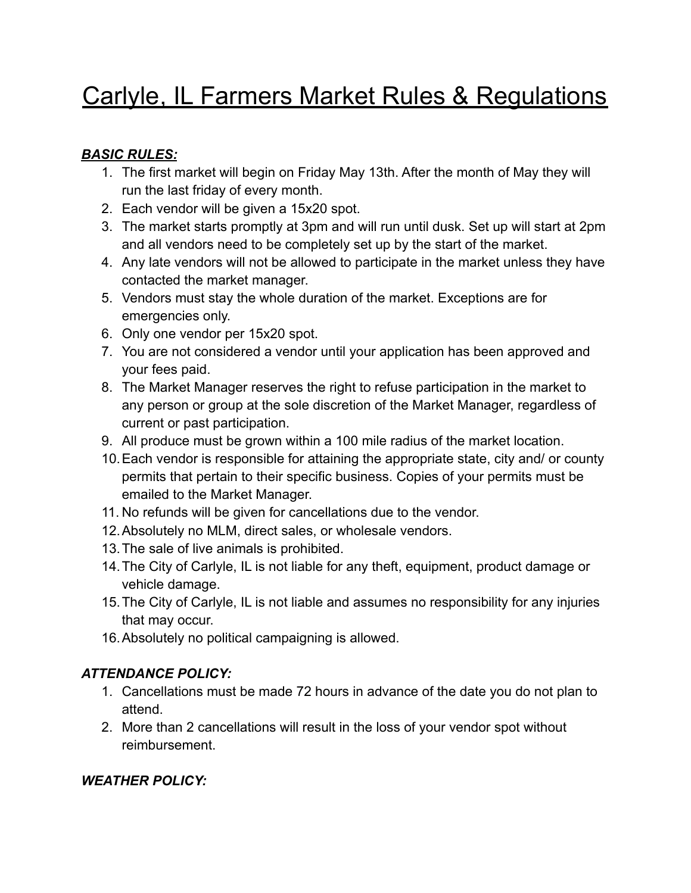# Carlyle, IL Farmers Market Rules & Regulations

#### *BASIC RULES:*

- 1. The first market will begin on Friday May 13th. After the month of May they will run the last friday of every month.
- 2. Each vendor will be given a 15x20 spot.
- 3. The market starts promptly at 3pm and will run until dusk. Set up will start at 2pm and all vendors need to be completely set up by the start of the market.
- 4. Any late vendors will not be allowed to participate in the market unless they have contacted the market manager.
- 5. Vendors must stay the whole duration of the market. Exceptions are for emergencies only.
- 6. Only one vendor per 15x20 spot.
- 7. You are not considered a vendor until your application has been approved and your fees paid.
- 8. The Market Manager reserves the right to refuse participation in the market to any person or group at the sole discretion of the Market Manager, regardless of current or past participation.
- 9. All produce must be grown within a 100 mile radius of the market location.
- 10.Each vendor is responsible for attaining the appropriate state, city and/ or county permits that pertain to their specific business. Copies of your permits must be emailed to the Market Manager.
- 11. No refunds will be given for cancellations due to the vendor.
- 12.Absolutely no MLM, direct sales, or wholesale vendors.
- 13.The sale of live animals is prohibited.
- 14.The City of Carlyle, IL is not liable for any theft, equipment, product damage or vehicle damage.
- 15.The City of Carlyle, IL is not liable and assumes no responsibility for any injuries that may occur.
- 16.Absolutely no political campaigning is allowed.

## *ATTENDANCE POLICY:*

- 1. Cancellations must be made 72 hours in advance of the date you do not plan to attend.
- 2. More than 2 cancellations will result in the loss of your vendor spot without reimbursement.

## *WEATHER POLICY:*